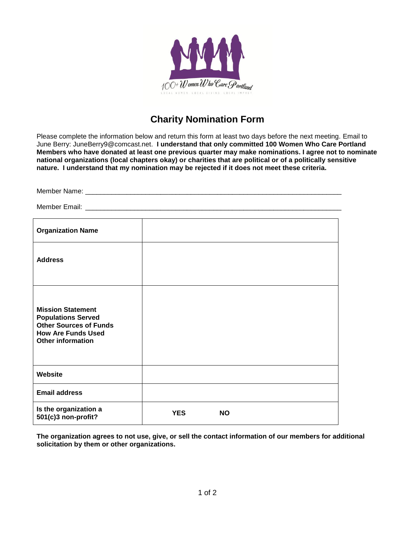

## **Charity Nomination Form**

Please complete the information below and return this form at least two days before the next meeting. Email to June Berry: JuneBerry9@comcast.net. **I understand that only committed 100 Women Who Care Portland Members who have donated at least one previous quarter may make nominations. I agree not to nominate national organizations (local chapters okay) or charities that are political or of a politically sensitive nature. I understand that my nomination may be rejected if it does not meet these criteria.** 

| <b>Organization Name</b>                                                                                                                        |            |           |  |
|-------------------------------------------------------------------------------------------------------------------------------------------------|------------|-----------|--|
| <b>Address</b>                                                                                                                                  |            |           |  |
| <b>Mission Statement</b><br><b>Populations Served</b><br><b>Other Sources of Funds</b><br><b>How Are Funds Used</b><br><b>Other information</b> |            |           |  |
| Website                                                                                                                                         |            |           |  |
| <b>Email address</b>                                                                                                                            |            |           |  |
| Is the organization a<br>501(c)3 non-profit?                                                                                                    | <b>YES</b> | <b>NO</b> |  |

**The organization agrees to not use, give, or sell the contact information of our members for additional solicitation by them or other organizations.**